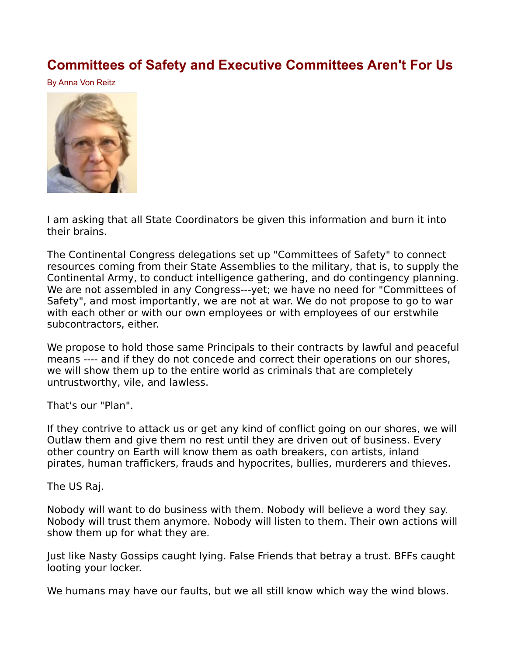## **[Committees of Safety and Executive Committees Aren't For Us](http://www.paulstramer.net/2021/06/committees-of-safety-and-executive.html)**

By Anna Von Reitz



I am asking that all State Coordinators be given this information and burn it into their brains.

The Continental Congress delegations set up "Committees of Safety" to connect resources coming from their State Assemblies to the military, that is, to supply the Continental Army, to conduct intelligence gathering, and do contingency planning. We are not assembled in any Congress---yet; we have no need for "Committees of Safety", and most importantly, we are not at war. We do not propose to go to war with each other or with our own employees or with employees of our erstwhile subcontractors, either.

We propose to hold those same Principals to their contracts by lawful and peaceful means ---- and if they do not concede and correct their operations on our shores, we will show them up to the entire world as criminals that are completely untrustworthy, vile, and lawless.

That's our "Plan".

If they contrive to attack us or get any kind of conflict going on our shores, we will Outlaw them and give them no rest until they are driven out of business. Every other country on Earth will know them as oath breakers, con artists, inland pirates, human traffickers, frauds and hypocrites, bullies, murderers and thieves.

The US Raj.

Nobody will want to do business with them. Nobody will believe a word they say. Nobody will trust them anymore. Nobody will listen to them. Their own actions will show them up for what they are.

Just like Nasty Gossips caught lying. False Friends that betray a trust. BFFs caught looting your locker.

We humans may have our faults, but we all still know which way the wind blows.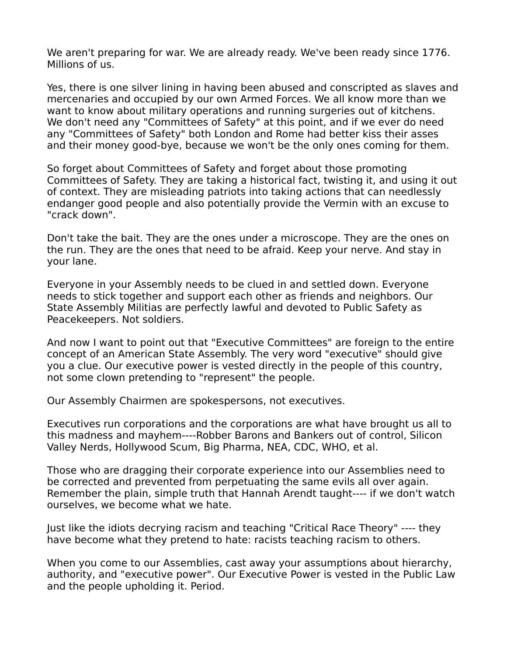We aren't preparing for war. We are already ready. We've been ready since 1776. Millions of us.

Yes, there is one silver lining in having been abused and conscripted as slaves and mercenaries and occupied by our own Armed Forces. We all know more than we want to know about military operations and running surgeries out of kitchens. We don't need any "Committees of Safety" at this point, and if we ever do need any "Committees of Safety" both London and Rome had better kiss their asses and their money good-bye, because we won't be the only ones coming for them.

So forget about Committees of Safety and forget about those promoting Committees of Safety. They are taking a historical fact, twisting it, and using it out of context. They are misleading patriots into taking actions that can needlessly endanger good people and also potentially provide the Vermin with an excuse to "crack down".

Don't take the bait. They are the ones under a microscope. They are the ones on the run. They are the ones that need to be afraid. Keep your nerve. And stay in your lane.

Everyone in your Assembly needs to be clued in and settled down. Everyone needs to stick together and support each other as friends and neighbors. Our State Assembly Militias are perfectly lawful and devoted to Public Safety as Peacekeepers. Not soldiers.

And now I want to point out that "Executive Committees" are foreign to the entire concept of an American State Assembly. The very word "executive" should give you a clue. Our executive power is vested directly in the people of this country, not some clown pretending to "represent" the people.

Our Assembly Chairmen are spokespersons, not executives.

Executives run corporations and the corporations are what have brought us all to this madness and mayhem----Robber Barons and Bankers out of control, Silicon Valley Nerds, Hollywood Scum, Big Pharma, NEA, CDC, WHO, et al.

Those who are dragging their corporate experience into our Assemblies need to be corrected and prevented from perpetuating the same evils all over again. Remember the plain, simple truth that Hannah Arendt taught---- if we don't watch ourselves, we become what we hate.

Just like the idiots decrying racism and teaching "Critical Race Theory" ---- they have become what they pretend to hate: racists teaching racism to others.

When you come to our Assemblies, cast away your assumptions about hierarchy, authority, and "executive power". Our Executive Power is vested in the Public Law and the people upholding it. Period.